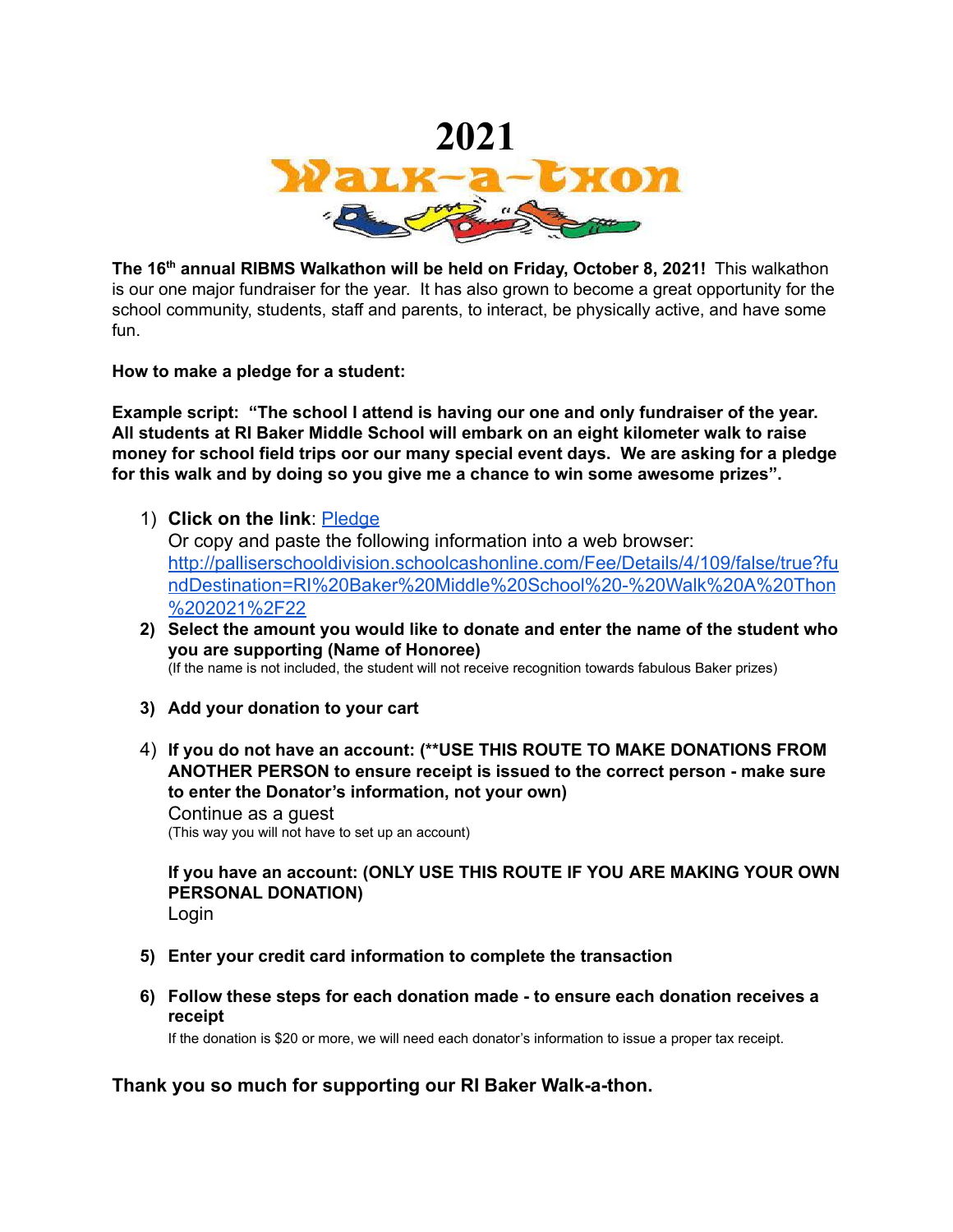

**The 16 th annual RIBMS Walkathon will be held on Friday, October 8, 2021!** This walkathon is our one major fundraiser for the year. It has also grown to become a great opportunity for the school community, students, staff and parents, to interact, be physically active, and have some fun.

**How to make a pledge for a student:**

**Example script: "The school I attend is having our one and only fundraiser of the year. All students at RI Baker Middle School will embark on an eight kilometer walk to raise money for school field trips oor our many special event days. We are asking for a pledge for this walk and by doing so you give me a chance to win some awesome prizes".**

1) **Click on the link**: [Pledge](http://palliserregional.schoolcashonline.com/Fee/Details/4/109/false/true?fundDestination=RI%20Baker%20Middle%20School%20-%20Walk-a-Thon)

Or copy and paste the following information into a web browser: [http://palliserschooldivision.schoolcashonline.com/Fee/Details/4/109/false/true?fu](http://palliserschooldivision.schoolcashonline.com/Fee/Details/4/109/false/true?fundDestination=RI%20Baker%20Middle%20School%20-%20Walk%20A%20Thon%202021%2F22) [ndDestination=RI%20Baker%20Middle%20School%20-%20Walk%20A%20Thon](http://palliserschooldivision.schoolcashonline.com/Fee/Details/4/109/false/true?fundDestination=RI%20Baker%20Middle%20School%20-%20Walk%20A%20Thon%202021%2F22) [%202021%2F22](http://palliserschooldivision.schoolcashonline.com/Fee/Details/4/109/false/true?fundDestination=RI%20Baker%20Middle%20School%20-%20Walk%20A%20Thon%202021%2F22)

**2) Select the amount you would like to donate and enter the name of the student who you are supporting (Name of Honoree)**

(If the name is not included, the student will not receive recognition towards fabulous Baker prizes)

- **3) Add your donation to your cart**
- 4) **If you do not have an account: (\*\*USE THIS ROUTE TO MAKE DONATIONS FROM ANOTHER PERSON to ensure receipt is issued to the correct person - make sure to enter the Donator's information, not your own)** Continue as a guest (This way you will not have to set up an account)

**If you have an account: (ONLY USE THIS ROUTE IF YOU ARE MAKING YOUR OWN PERSONAL DONATION)** Login

- **5) Enter your credit card information to complete the transaction**
- **6) Follow these steps for each donation made - to ensure each donation receives a receipt**

If the donation is \$20 or more, we will need each donator's information to issue a proper tax receipt.

## **Thank you so much for supporting our RI Baker Walk-a-thon.**